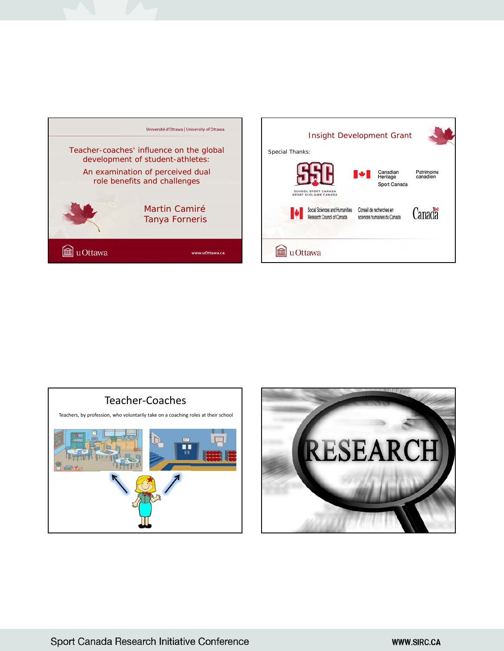





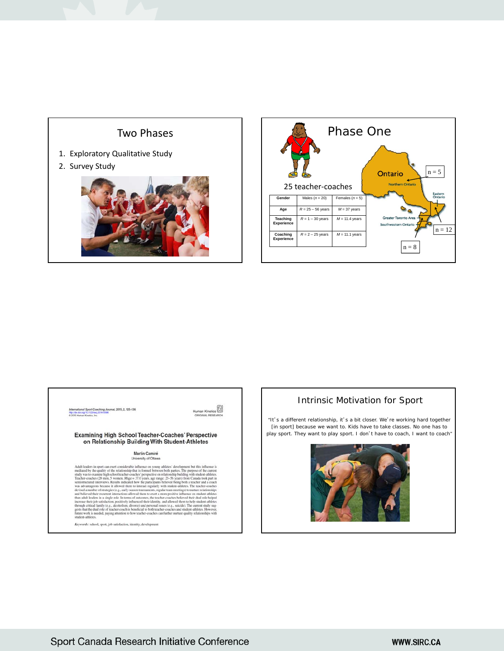



International Sport Coaching Journal, 2015, 2, 125-136<br>http://dx.dx.org/10.1123/aq.2014-0098<br>© 2015 Human Kinetics.lnc.

Human Kinetics

#### **Examining High School Teacher-Coaches' Perspective** on Relationship Building With Student-Athletes

# Martin Camiré<br>University of Ottawa

Adult leaders in sport can exert considerable influence on young<br>may alterlay development but this influence is mediated by the quality of the relationship but is formed between both partics. The purpose of the current st

 $Keywords:$  school, sport, job satisfaction, identity, development

### Intrinsic Motivation for Sport

"It's a different relationship, it's a bit closer. We're working hard together [in sport] because we want to. Kids have to take classes. No one has to play sport. They want to play sport. I don't have to coach, I want to coach"

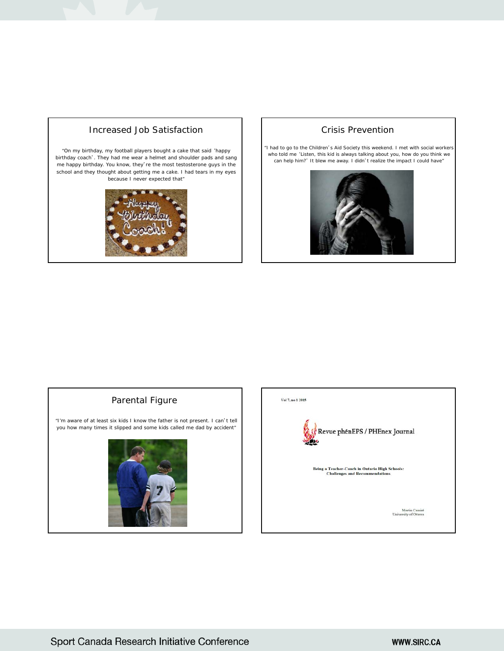## Increased Job Satisfaction

"On my birthday, my football players bought a cake that said 'happy birthday coach'. They had me wear a helmet and shoulder pads and sang me happy birthday. You know, they're the most testosterone guys in the school and they thought about getting me a cake. I had tears in my eyes because I never expected that"



#### Crisis Prevention

"I had to go to the Children's Aid Society this weekend. I met with social workers who told me 'Listen, this kid is always talking about you, how do you think we can help him?' It blew me away. I didn't realize the impact I could have"



### Parental Figure

"I'm aware of at least six kids I know the father is not present. I can't tell you how many times it slipped and some kids called me dad by accident"



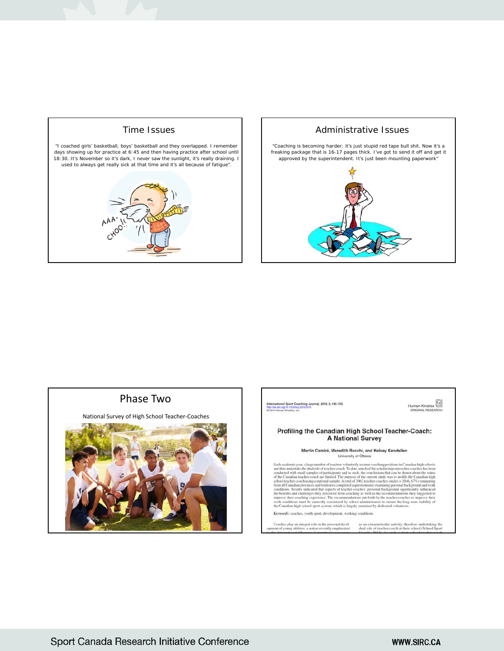

#### Administrative Issues

"Coaching is becoming harder; it's just stupid red tape bull shit. Now it's a freaking package that is 16-17 pages thick. I've got to send it off and get it approved by the superintendent. It's just been mounting paperwork"







Keywords: coaches, youth sport, development, working conditions

Coaches play an integral role in the personal develation as an extracurricular activity, therefore undertaking the nent of young athletes, a notion recently emphasized dual role of teacher-coach at their school (School Spo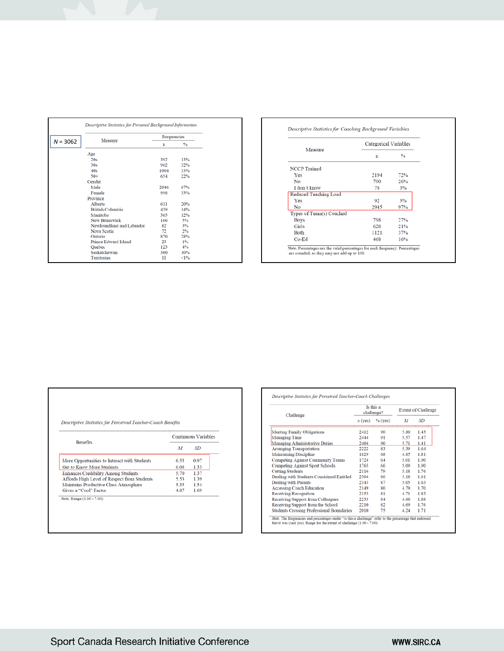| Descriptive Statistics for Personal Background Information |             |               |
|------------------------------------------------------------|-------------|---------------|
|                                                            | Frequencies |               |
| Measure<br>$N = 3062$                                      | $\mathbf n$ | $\frac{9}{6}$ |
| Age                                                        |             |               |
| 20s                                                        | 392         | 13%           |
| 30s                                                        | 962         | 32%           |
| 40s                                                        | 1004        | 33%           |
| $50+$                                                      | 654         | 22%           |
| Gender                                                     |             |               |
| Male                                                       | 2046        | 67%           |
| Female                                                     | 998         | 33%           |
| Province                                                   |             |               |
| Alberta                                                    | 611         | 20%           |
| <b>British Columbia</b>                                    | 439         | 14%           |
| Manitoba                                                   | 365         | 12%           |
| <b>New Brunswick</b>                                       | 166         | 5%            |
| Newfoundland and Labrador                                  | 82          | 3%            |
| Nova Scotia                                                | 72          | 2%            |
| Ontario                                                    | 870         | 28%           |
| Prince Edward Island                                       | 23          | 1%            |
| Quebec                                                     | 123         | 4%            |
| Saskatchewan                                               | 300         | 10%           |
| Territories                                                | 11          | <1%           |

#### Descriptive Statistics for Coaching Background Variables

|                          | Categorical Variables |     |  |
|--------------------------|-----------------------|-----|--|
| Measure                  | n                     | %   |  |
| <b>NCCP</b> Trained      |                       |     |  |
| <b>Yes</b>               | 2194                  | 72% |  |
| No                       | 790                   | 26% |  |
| I don't know             | 78                    | 3%  |  |
| Reduced Teaching Load    |                       |     |  |
| Yes                      | 92                    | 3%  |  |
| No                       | 2945                  | 97% |  |
| Types of Team(s) Coached |                       |     |  |
| <b>Boys</b>              | 798                   | 27% |  |
| Girls                    | 628                   | 21% |  |
| <b>Both</b>              | 1121                  | 37% |  |
| $Co-Ed$                  | 468                   | 16% |  |

|  |  |  | Descriptive Statistics for Perceived Teacher-Coach Benefits |  |
|--|--|--|-------------------------------------------------------------|--|
|--|--|--|-------------------------------------------------------------|--|

|                                              | <b>Continuous Variables</b> |           |  |
|----------------------------------------------|-----------------------------|-----------|--|
| <b>Benefits</b>                              | М                           | <b>SD</b> |  |
| More Opportunities to Interact with Students | 6.53                        | 0.97      |  |
| <b>Get to Know More Students</b>             | 6.08                        | 1.33      |  |
| <b>Enhances Credibility Among Students</b>   | 5.70                        | 1.37      |  |
| Affords High Level of Respect from Students  | 5.53                        | 1.39      |  |
| Maintains Productive Class Atmosphere        | 5.35                        | 1.54      |  |
| Gives a "Cool" Factor                        | 4.87                        | 1.69      |  |

| Challenge                                        | Is this a<br>challenge? |           | <b>Extent of Challenge</b> |      |
|--------------------------------------------------|-------------------------|-----------|----------------------------|------|
|                                                  | $n$ (yes)               | $%$ (yes) | M                          | SD   |
| <b>Meeting Family Obligations</b>                | 2412                    | 90        | 5.80                       | 1.43 |
| <b>Managing Time</b>                             | 2444                    | 91        | 5.57                       | 1.47 |
| Managing Administrative Duties                   | 2404                    | 90        | 5.71                       | 1.41 |
| <b>Arranging Transportation</b>                  | 2222                    | 83        | 5.39                       | 1.64 |
| <b>Maintaining Discipline</b>                    | 1829                    | 68        | 4.85                       | 1.81 |
| Competing Against Community Teams                | 1724                    | 64        | 5.01                       | 1.90 |
| <b>Competing Against Sport Schools</b>           | 1765                    | 66        | 5.09                       | 1.90 |
| <b>Cutting Students</b>                          | 2116                    | 79        | 5.18                       | 1.76 |
| Dealing with Students Considered Entitled        | 2304                    | 86        | 5.18                       | 1.61 |
| <b>Dealing with Parents</b>                      | 2343                    | 87        | 5.05                       | 1.63 |
| <b>Accessing Coach Education</b>                 | 2149                    | 80        | 4.79                       | 1.70 |
| Receiving Recognition                            | 2155                    | 81        | 4.71                       | 1.83 |
| Receiving Support from Colleagues                | 2233                    | 84        | 4.60                       | 1.88 |
| Receiving Support from the School                | 2210                    | 82        | 4.69                       | 1.76 |
| <b>Students Crossing Professional Boundaries</b> | 2010                    | 75        | 4.24                       | 1.71 |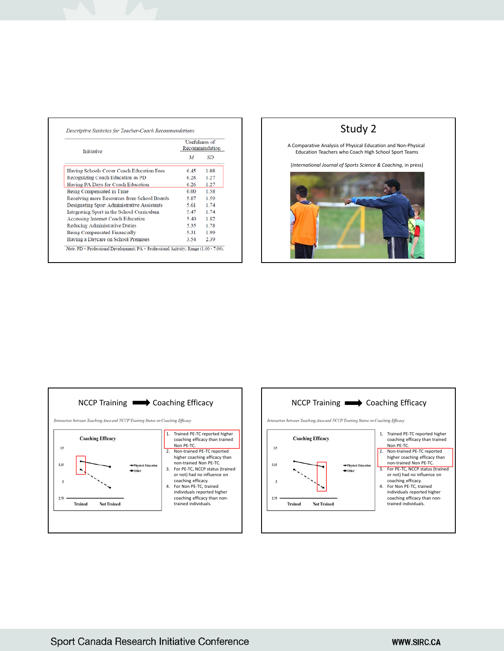| <b>Initiative</b>                           | <b>Usefulness of</b><br>Recommendation |      |  |
|---------------------------------------------|----------------------------------------|------|--|
|                                             | M                                      | SD   |  |
| Having Schools Cover Coach Education Fees   | 6.45                                   | 1.08 |  |
| Recognizing Coach Education as PD           | 6.28                                   | 1.27 |  |
| Having PA Days for Coach Education          | 6.26                                   | 1.27 |  |
| Being Compensated in Time                   | 6.00                                   | 1.58 |  |
| Receiving more Resources from School Boards | 5.87                                   | 1.59 |  |
| Designating Sport Administrative Assistants | 5.61                                   | 1.74 |  |
| Integrating Sport in the School Curriculum  | 5.47                                   | 1.74 |  |
| Accessing Internet Coach Education          | 5.40                                   | 1.82 |  |
| Reducing Administrative Duties              | 5.35                                   | 1.78 |  |
| Being Compensated Financially               | 5.31                                   | 1.99 |  |
| Having a Daycare on School Premises         | 3.54                                   | 2.39 |  |

# Study 2

A Comparative Analysis of Physical Education and Non‐Physical Education Teachers who Coach High School Sport Teams

(*International Journal of Sports Science & Coaching*, in press)





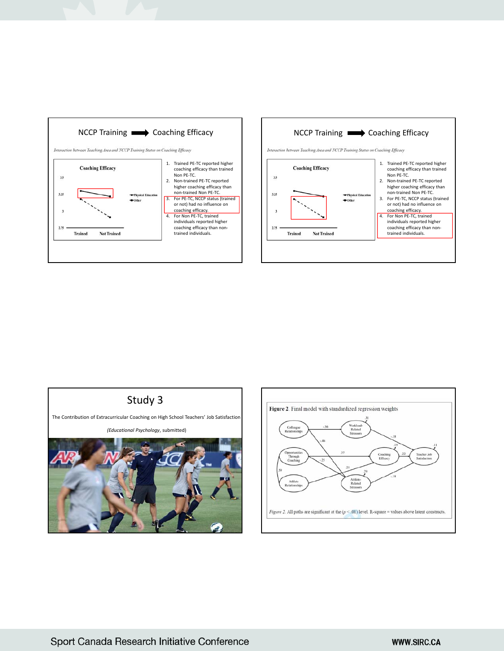



# Study 3

The Contribution of Extracurricular Coaching on High School Teachers' Job Satisfaction

*(Educational Psychology*, submitted)



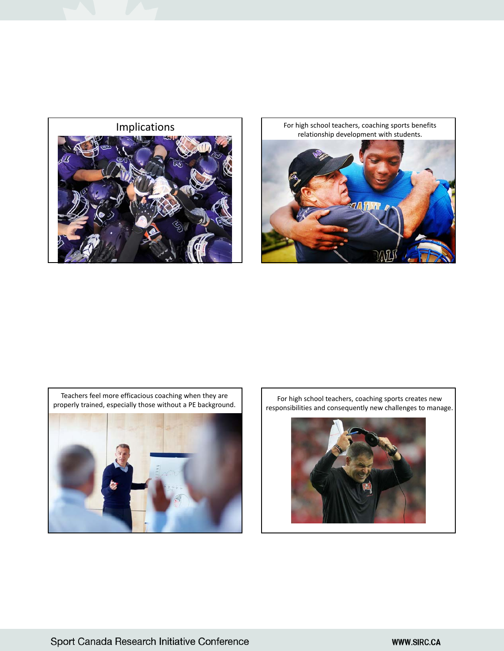

Implications For high school teachers, coaching sports benefits relationship development with students.





For high school teachers, coaching sports creates new responsibilities and consequently new challenges to manage.